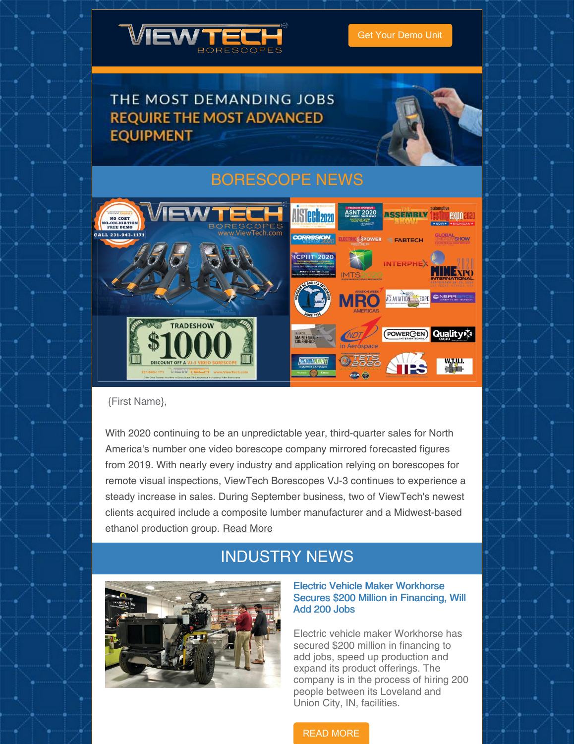

### THE MOST DEMANDING JOBS **REQUIRE THE MOST ADVANCED EQUIPMENT**



## [BORESCOPE](https://www.viewtech.com/news/?utm_source=newsletter&utm_medium=email&utm_campaign=newsletter1020) NEWS



{First Name},

With 2020 continuing to be an unpredictable year, third-quarter sales for North America's number one video borescope company mirrored forecasted figures from 2019. With nearly every industry and application relying on borescopes for remote visual inspections, ViewTech Borescopes VJ-3 continues to experience a steady increase in sales. During September business, two of ViewTech's newest clients acquired include a composite lumber manufacturer and a Midwest-based ethanol production group. [Read](https://www.viewtech.com/viewtech-borescopes-3rd-quarter-2020-closes-with-increased-sales/?utm_source=newsletter&utm_medium=email&utm_campaign=newsletter1020) More

## INDUSTRY NEWS



#### Electric Vehicle Maker Workhorse Secures \$200 Million in Financing, Will Add 200 Jobs

Electric vehicle maker Workhorse has secured \$200 million in financing to add jobs, speed up production and expand its product offerings. The company is in the process of hiring 200 people between its Loveland and Union City, IN, facilities.

#### READ [MORE](https://www.assemblymag.com/articles/95948-electric-vehicle-maker-workhorse-secures-200-million-in-financing-will-add-200-jobs?oly_enc_id=7765D8056934G8B)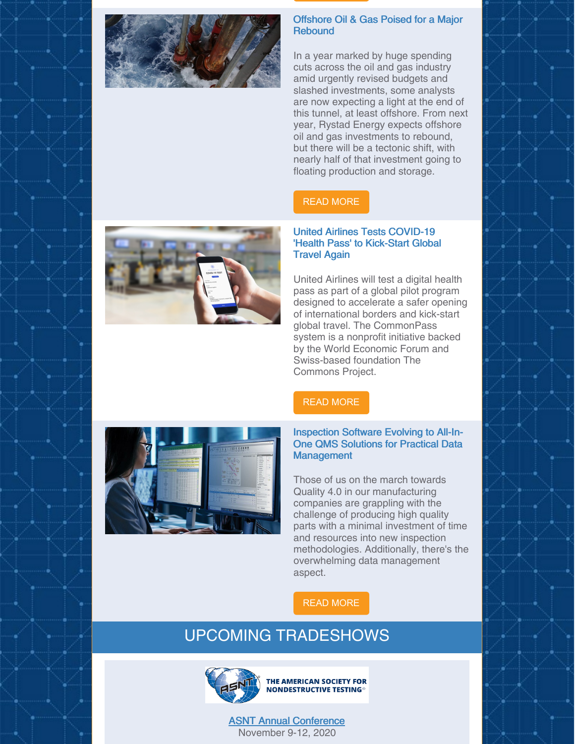

#### Offshore Oil & Gas Poised for a Major **Rebound**

In a year marked by huge spending cuts across the oil and gas industry amid urgently revised budgets and slashed investments, some analysts are now expecting a light at the end of this tunnel, at least offshore. From next year, Rystad Energy expects offshore oil and gas investments to rebound, but there will be a tectonic shift, with nearly half of that investment going to floating production and storage.

### READ [MORE](https://oilprice.com/Energy/Energy-General/Offshore-Oil-Gas-Poised-For-A-Major-Rebound.html)

#### United Airlines Tests COVID-19 'Health Pass' to Kick-Start Global Travel Again

United Airlines will test a digital health pass as part of a global pilot program designed to accelerate a safer opening of international borders and kick-start global travel. The CommonPass system is a nonprofit initiative backed by the World Economic Forum and Swiss-based foundation The Commons Project.

#### READ [MORE](https://www.marketwatch.com/story/united-airlines-trials-covid-19-health-pass-to-kick-start-global-travel-again-11603280283)



#### Inspection Software Evolving to All-In-One QMS Solutions for Practical Data **Management**

Those of us on the march towards Quality 4.0 in our manufacturing companies are grappling with the challenge of producing high quality parts with a minimal investment of time and resources into new inspection methodologies. Additionally, there's the overwhelming data management aspect.

### READ [MORE](https://www.qualitymag.com/articles/96230-inspection-software-evolving-to-all-in-one-qms-solutions-for-practical-data-management?oly_enc_id=7765D8056934G8B)

## UPCOMING TRADESHOWS



THE AMERICAN SOCIETY FOR **NONDESTRUCTIVE TESTING®** 

ASNT Annual [Conference](https://www.viewtech.com/about-us/tradeshows/asnt-annual-conference-2020/?utm_source=newsletter&utm_medium=email&utm_campaign=newsletter1020) November 9-12, 2020